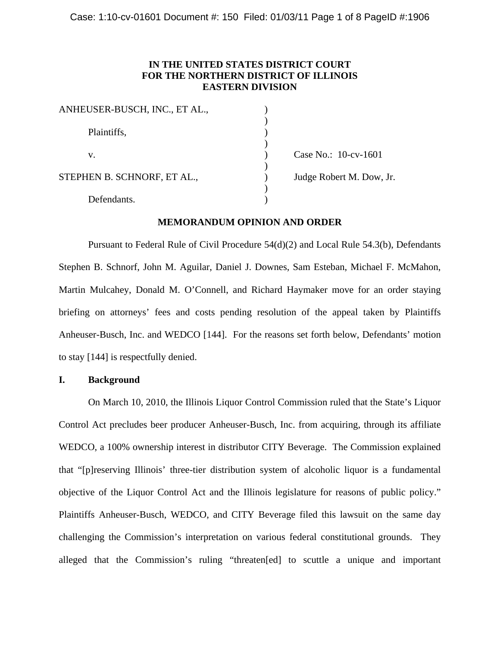# **IN THE UNITED STATES DISTRICT COURT FOR THE NORTHERN DISTRICT OF ILLINOIS EASTERN DIVISION**

| ANHEUSER-BUSCH, INC., ET AL., |                          |
|-------------------------------|--------------------------|
|                               |                          |
| Plaintiffs,                   |                          |
|                               |                          |
| v.                            | Case No.: 10-cv-1601     |
|                               |                          |
| STEPHEN B. SCHNORF, ET AL.,   | Judge Robert M. Dow, Jr. |
|                               |                          |
| Defendants.                   |                          |
|                               |                          |

# **MEMORANDUM OPINION AND ORDER**

Pursuant to Federal Rule of Civil Procedure 54(d)(2) and Local Rule 54.3(b), Defendants Stephen B. Schnorf, John M. Aguilar, Daniel J. Downes, Sam Esteban, Michael F. McMahon, Martin Mulcahey, Donald M. O'Connell, and Richard Haymaker move for an order staying briefing on attorneys' fees and costs pending resolution of the appeal taken by Plaintiffs Anheuser-Busch, Inc. and WEDCO [144]. For the reasons set forth below, Defendants' motion to stay [144] is respectfully denied.

## **I. Background**

On March 10, 2010, the Illinois Liquor Control Commission ruled that the State's Liquor Control Act precludes beer producer Anheuser-Busch, Inc. from acquiring, through its affiliate WEDCO, a 100% ownership interest in distributor CITY Beverage. The Commission explained that "[p]reserving Illinois' three-tier distribution system of alcoholic liquor is a fundamental objective of the Liquor Control Act and the Illinois legislature for reasons of public policy." Plaintiffs Anheuser-Busch, WEDCO, and CITY Beverage filed this lawsuit on the same day challenging the Commission's interpretation on various federal constitutional grounds. They alleged that the Commission's ruling "threaten[ed] to scuttle a unique and important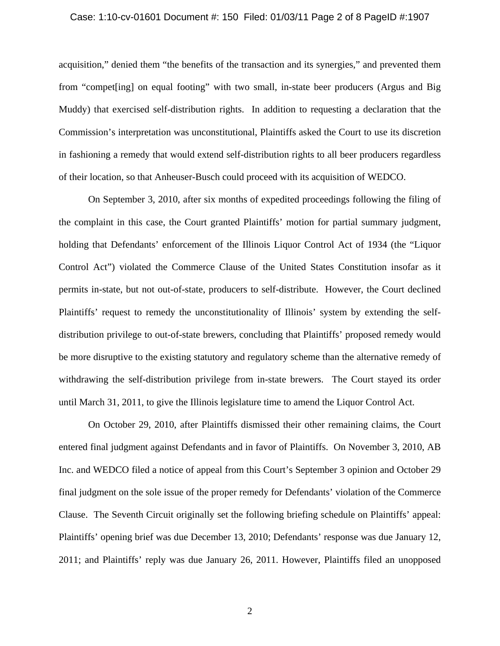#### Case: 1:10-cv-01601 Document #: 150 Filed: 01/03/11 Page 2 of 8 PageID #:1907

acquisition," denied them "the benefits of the transaction and its synergies," and prevented them from "compet[ing] on equal footing" with two small, in-state beer producers (Argus and Big Muddy) that exercised self-distribution rights. In addition to requesting a declaration that the Commission's interpretation was unconstitutional, Plaintiffs asked the Court to use its discretion in fashioning a remedy that would extend self-distribution rights to all beer producers regardless of their location, so that Anheuser-Busch could proceed with its acquisition of WEDCO.

On September 3, 2010, after six months of expedited proceedings following the filing of the complaint in this case, the Court granted Plaintiffs' motion for partial summary judgment, holding that Defendants' enforcement of the Illinois Liquor Control Act of 1934 (the "Liquor Control Act") violated the Commerce Clause of the United States Constitution insofar as it permits in-state, but not out-of-state, producers to self-distribute. However, the Court declined Plaintiffs' request to remedy the unconstitutionality of Illinois' system by extending the selfdistribution privilege to out-of-state brewers, concluding that Plaintiffs' proposed remedy would be more disruptive to the existing statutory and regulatory scheme than the alternative remedy of withdrawing the self-distribution privilege from in-state brewers. The Court stayed its order until March 31, 2011, to give the Illinois legislature time to amend the Liquor Control Act.

On October 29, 2010, after Plaintiffs dismissed their other remaining claims, the Court entered final judgment against Defendants and in favor of Plaintiffs. On November 3, 2010, AB Inc. and WEDCO filed a notice of appeal from this Court's September 3 opinion and October 29 final judgment on the sole issue of the proper remedy for Defendants' violation of the Commerce Clause. The Seventh Circuit originally set the following briefing schedule on Plaintiffs' appeal: Plaintiffs' opening brief was due December 13, 2010; Defendants' response was due January 12, 2011; and Plaintiffs' reply was due January 26, 2011. However, Plaintiffs filed an unopposed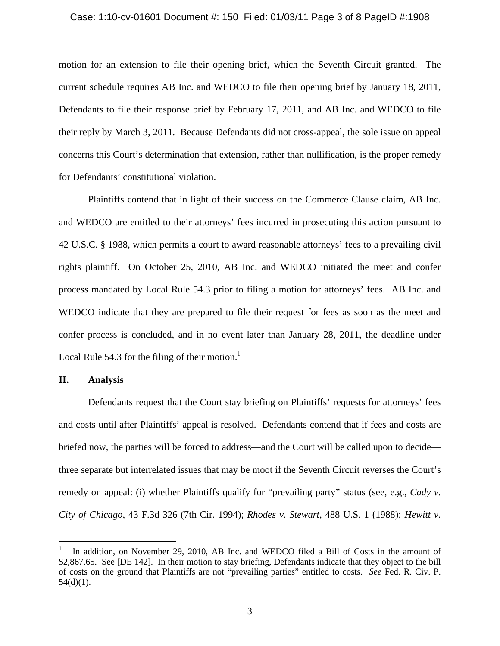#### Case: 1:10-cv-01601 Document #: 150 Filed: 01/03/11 Page 3 of 8 PageID #:1908

motion for an extension to file their opening brief, which the Seventh Circuit granted. The current schedule requires AB Inc. and WEDCO to file their opening brief by January 18, 2011, Defendants to file their response brief by February 17, 2011, and AB Inc. and WEDCO to file their reply by March 3, 2011. Because Defendants did not cross-appeal, the sole issue on appeal concerns this Court's determination that extension, rather than nullification, is the proper remedy for Defendants' constitutional violation.

Plaintiffs contend that in light of their success on the Commerce Clause claim, AB Inc. and WEDCO are entitled to their attorneys' fees incurred in prosecuting this action pursuant to 42 U.S.C. § 1988, which permits a court to award reasonable attorneys' fees to a prevailing civil rights plaintiff. On October 25, 2010, AB Inc. and WEDCO initiated the meet and confer process mandated by Local Rule 54.3 prior to filing a motion for attorneys' fees. AB Inc. and WEDCO indicate that they are prepared to file their request for fees as soon as the meet and confer process is concluded, and in no event later than January 28, 2011, the deadline under Local Rule 54.3 for the filing of their motion.<sup>1</sup>

## **II. Analysis**

 $\overline{a}$ 

Defendants request that the Court stay briefing on Plaintiffs' requests for attorneys' fees and costs until after Plaintiffs' appeal is resolved. Defendants contend that if fees and costs are briefed now, the parties will be forced to address—and the Court will be called upon to decide three separate but interrelated issues that may be moot if the Seventh Circuit reverses the Court's remedy on appeal: (i) whether Plaintiffs qualify for "prevailing party" status (see, e.g., *Cady v. City of Chicago*, 43 F.3d 326 (7th Cir. 1994); *Rhodes v. Stewart*, 488 U.S. 1 (1988); *Hewitt v.* 

<sup>1</sup> In addition, on November 29, 2010, AB Inc. and WEDCO filed a Bill of Costs in the amount of \$2,867.65. See [DE 142]. In their motion to stay briefing, Defendants indicate that they object to the bill of costs on the ground that Plaintiffs are not "prevailing parties" entitled to costs. *See* Fed. R. Civ. P.  $54(d)(1)$ .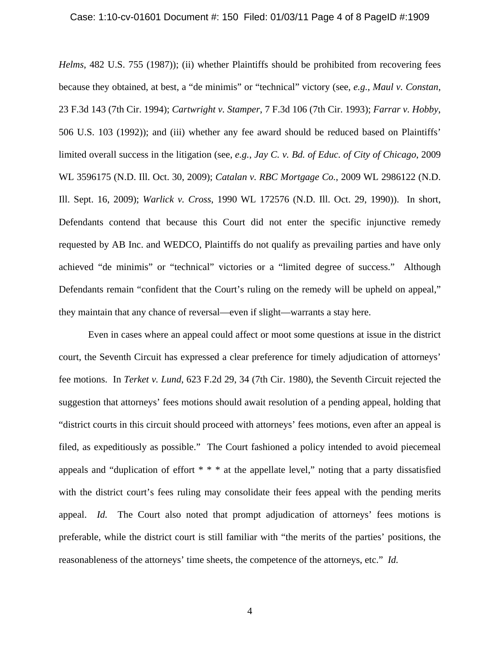#### Case: 1:10-cv-01601 Document #: 150 Filed: 01/03/11 Page 4 of 8 PageID #:1909

*Helms*, 482 U.S. 755 (1987)); (ii) whether Plaintiffs should be prohibited from recovering fees because they obtained, at best, a "de minimis" or "technical" victory (see, *e.g.*, *Maul v. Constan*, 23 F.3d 143 (7th Cir. 1994); *Cartwright v. Stamper*, 7 F.3d 106 (7th Cir. 1993); *Farrar v. Hobby*, 506 U.S. 103 (1992)); and (iii) whether any fee award should be reduced based on Plaintiffs' limited overall success in the litigation (see, *e.g.*, *Jay C. v. Bd. of Educ. of City of Chicago*, 2009 WL 3596175 (N.D. Ill. Oct. 30, 2009); *Catalan v. RBC Mortgage Co.*, 2009 WL 2986122 (N.D. Ill. Sept. 16, 2009); *Warlick v. Cross*, 1990 WL 172576 (N.D. Ill. Oct. 29, 1990)). In short, Defendants contend that because this Court did not enter the specific injunctive remedy requested by AB Inc. and WEDCO, Plaintiffs do not qualify as prevailing parties and have only achieved "de minimis" or "technical" victories or a "limited degree of success." Although Defendants remain "confident that the Court's ruling on the remedy will be upheld on appeal," they maintain that any chance of reversal—even if slight—warrants a stay here.

Even in cases where an appeal could affect or moot some questions at issue in the district court, the Seventh Circuit has expressed a clear preference for timely adjudication of attorneys' fee motions. In *Terket v. Lund*, 623 F.2d 29, 34 (7th Cir. 1980), the Seventh Circuit rejected the suggestion that attorneys' fees motions should await resolution of a pending appeal, holding that "district courts in this circuit should proceed with attorneys' fees motions, even after an appeal is filed, as expeditiously as possible." The Court fashioned a policy intended to avoid piecemeal appeals and "duplication of effort \* \* \* at the appellate level," noting that a party dissatisfied with the district court's fees ruling may consolidate their fees appeal with the pending merits appeal. *Id.* The Court also noted that prompt adjudication of attorneys' fees motions is preferable, while the district court is still familiar with "the merits of the parties' positions, the reasonableness of the attorneys' time sheets, the competence of the attorneys, etc." *Id.*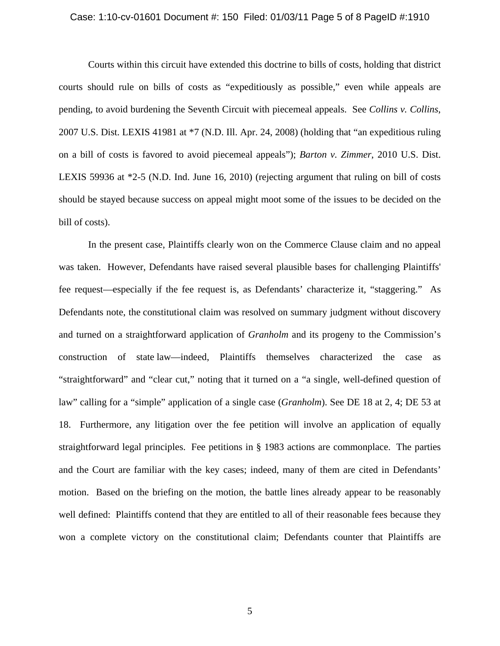#### Case: 1:10-cv-01601 Document #: 150 Filed: 01/03/11 Page 5 of 8 PageID #:1910

Courts within this circuit have extended this doctrine to bills of costs, holding that district courts should rule on bills of costs as "expeditiously as possible," even while appeals are pending, to avoid burdening the Seventh Circuit with piecemeal appeals. See *Collins v. Collins*, 2007 U.S. Dist. LEXIS 41981 at \*7 (N.D. Ill. Apr. 24, 2008) (holding that "an expeditious ruling on a bill of costs is favored to avoid piecemeal appeals"); *Barton v. Zimmer*, 2010 U.S. Dist. LEXIS 59936 at \*2-5 (N.D. Ind. June 16, 2010) (rejecting argument that ruling on bill of costs should be stayed because success on appeal might moot some of the issues to be decided on the bill of costs).

In the present case, Plaintiffs clearly won on the Commerce Clause claim and no appeal was taken. However, Defendants have raised several plausible bases for challenging Plaintiffs' fee request—especially if the fee request is, as Defendants' characterize it, "staggering." As Defendants note, the constitutional claim was resolved on summary judgment without discovery and turned on a straightforward application of *Granholm* and its progeny to the Commission's construction of state law—indeed, Plaintiffs themselves characterized the case as "straightforward" and "clear cut," noting that it turned on a "a single, well-defined question of law" calling for a "simple" application of a single case (*Granholm*). See DE 18 at 2, 4; DE 53 at 18. Furthermore, any litigation over the fee petition will involve an application of equally straightforward legal principles. Fee petitions in § 1983 actions are commonplace. The parties and the Court are familiar with the key cases; indeed, many of them are cited in Defendants' motion. Based on the briefing on the motion, the battle lines already appear to be reasonably well defined: Plaintiffs contend that they are entitled to all of their reasonable fees because they won a complete victory on the constitutional claim; Defendants counter that Plaintiffs are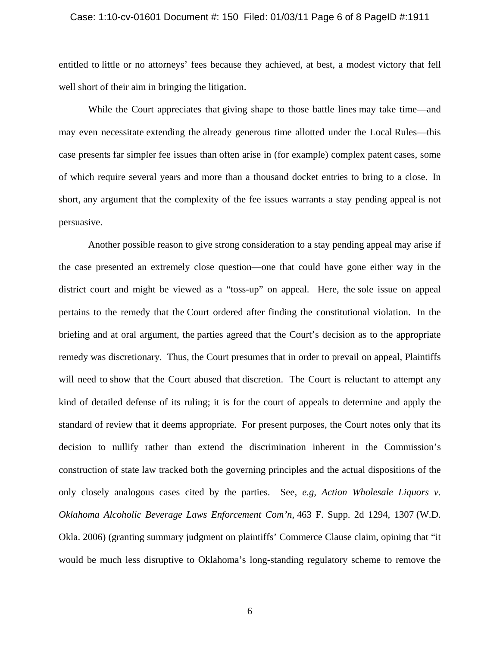#### Case: 1:10-cv-01601 Document #: 150 Filed: 01/03/11 Page 6 of 8 PageID #:1911

entitled to little or no attorneys' fees because they achieved, at best, a modest victory that fell well short of their aim in bringing the litigation.

While the Court appreciates that giving shape to those battle lines may take time—and may even necessitate extending the already generous time allotted under the Local Rules—this case presents far simpler fee issues than often arise in (for example) complex patent cases, some of which require several years and more than a thousand docket entries to bring to a close. In short, any argument that the complexity of the fee issues warrants a stay pending appeal is not persuasive.

Another possible reason to give strong consideration to a stay pending appeal may arise if the case presented an extremely close question—one that could have gone either way in the district court and might be viewed as a "toss-up" on appeal. Here, the sole issue on appeal pertains to the remedy that the Court ordered after finding the constitutional violation. In the briefing and at oral argument, the parties agreed that the Court's decision as to the appropriate remedy was discretionary. Thus, the Court presumes that in order to prevail on appeal, Plaintiffs will need to show that the Court abused that discretion. The Court is reluctant to attempt any kind of detailed defense of its ruling; it is for the court of appeals to determine and apply the standard of review that it deems appropriate. For present purposes, the Court notes only that its decision to nullify rather than extend the discrimination inherent in the Commission's construction of state law tracked both the governing principles and the actual dispositions of the only closely analogous cases cited by the parties. See, *e.g, Action Wholesale Liquors v. Oklahoma Alcoholic Beverage Laws Enforcement Com'n*, 463 F. Supp. 2d 1294, 1307 (W.D. Okla. 2006) (granting summary judgment on plaintiffs' Commerce Clause claim, opining that "it would be much less disruptive to Oklahoma's long-standing regulatory scheme to remove the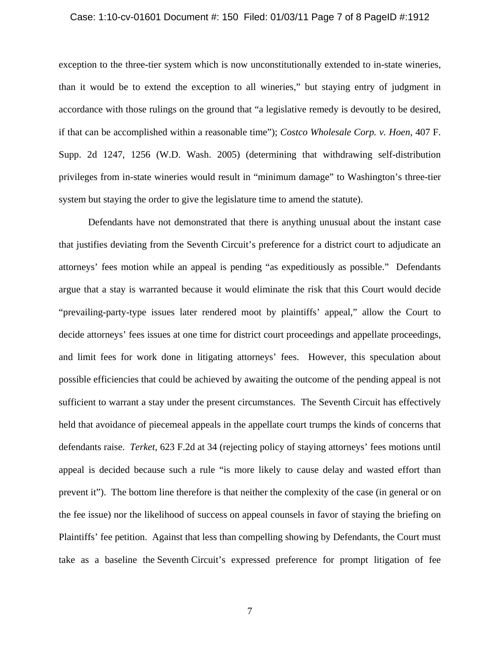#### Case: 1:10-cv-01601 Document #: 150 Filed: 01/03/11 Page 7 of 8 PageID #:1912

exception to the three-tier system which is now unconstitutionally extended to in-state wineries, than it would be to extend the exception to all wineries," but staying entry of judgment in accordance with those rulings on the ground that "a legislative remedy is devoutly to be desired, if that can be accomplished within a reasonable time"); *Costco Wholesale Corp. v. Hoen,* 407 F. Supp. 2d 1247, 1256 (W.D. Wash. 2005) (determining that withdrawing self-distribution privileges from in-state wineries would result in "minimum damage" to Washington's three-tier system but staying the order to give the legislature time to amend the statute).

Defendants have not demonstrated that there is anything unusual about the instant case that justifies deviating from the Seventh Circuit's preference for a district court to adjudicate an attorneys' fees motion while an appeal is pending "as expeditiously as possible." Defendants argue that a stay is warranted because it would eliminate the risk that this Court would decide "prevailing-party-type issues later rendered moot by plaintiffs' appeal," allow the Court to decide attorneys' fees issues at one time for district court proceedings and appellate proceedings, and limit fees for work done in litigating attorneys' fees. However, this speculation about possible efficiencies that could be achieved by awaiting the outcome of the pending appeal is not sufficient to warrant a stay under the present circumstances. The Seventh Circuit has effectively held that avoidance of piecemeal appeals in the appellate court trumps the kinds of concerns that defendants raise. *Terket*, 623 F.2d at 34 (rejecting policy of staying attorneys' fees motions until appeal is decided because such a rule "is more likely to cause delay and wasted effort than prevent it"). The bottom line therefore is that neither the complexity of the case (in general or on the fee issue) nor the likelihood of success on appeal counsels in favor of staying the briefing on Plaintiffs' fee petition. Against that less than compelling showing by Defendants, the Court must take as a baseline the Seventh Circuit's expressed preference for prompt litigation of fee